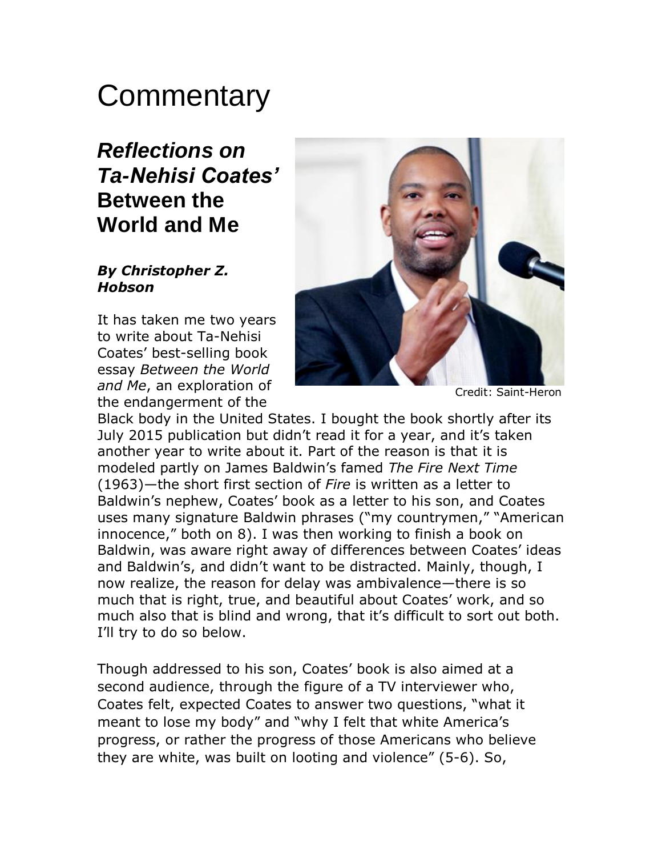# **Commentary**

## *Reflections on Ta-Nehisi Coates'* **Between the World and Me**

#### *By Christopher Z. Hobson*

It has taken me two years to write about Ta-Nehisi Coates' best-selling book essay *Between the World and Me*, an exploration of the endangerment of the



Credit: Saint-Heron

Black body in the United States. I bought the book shortly after its July 2015 publication but didn't read it for a year, and it's taken another year to write about it. Part of the reason is that it is modeled partly on James Baldwin's famed *The Fire Next Time* (1963)—the short first section of *Fire* is written as a letter to Baldwin's nephew, Coates' book as a letter to his son, and Coates uses many signature Baldwin phrases ("my countrymen," "American innocence," both on 8). I was then working to finish a book on Baldwin, was aware right away of differences between Coates' ideas and Baldwin's, and didn't want to be distracted. Mainly, though, I now realize, the reason for delay was ambivalence—there is so much that is right, true, and beautiful about Coates' work, and so much also that is blind and wrong, that it's difficult to sort out both. I'll try to do so below.

Though addressed to his son, Coates' book is also aimed at a second audience, through the figure of a TV interviewer who, Coates felt, expected Coates to answer two questions, "what it meant to lose my body" and "why I felt that white America's progress, or rather the progress of those Americans who believe they are white, was built on looting and violence" (5-6). So,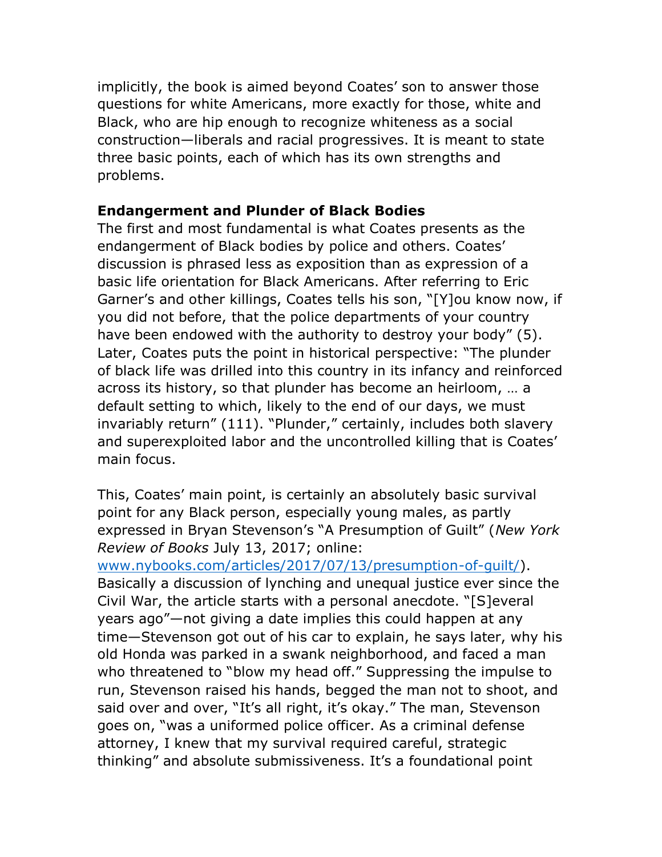implicitly, the book is aimed beyond Coates' son to answer those questions for white Americans, more exactly for those, white and Black, who are hip enough to recognize whiteness as a social construction—liberals and racial progressives. It is meant to state three basic points, each of which has its own strengths and problems.

### **Endangerment and Plunder of Black Bodies**

The first and most fundamental is what Coates presents as the endangerment of Black bodies by police and others. Coates' discussion is phrased less as exposition than as expression of a basic life orientation for Black Americans. After referring to Eric Garner's and other killings, Coates tells his son, "[Y]ou know now, if you did not before, that the police departments of your country have been endowed with the authority to destroy your body" (5). Later, Coates puts the point in historical perspective: "The plunder of black life was drilled into this country in its infancy and reinforced across its history, so that plunder has become an heirloom, … a default setting to which, likely to the end of our days, we must invariably return" (111). "Plunder," certainly, includes both slavery and superexploited labor and the uncontrolled killing that is Coates' main focus.

This, Coates' main point, is certainly an absolutely basic survival point for any Black person, especially young males, as partly expressed in Bryan Stevenson's "A Presumption of Guilt" (*New York Review of Books* July 13, 2017; online:

[www.nybooks.com/articles/2017/07/13/presumption-of-guilt/\)](http://www.nybooks.com/articles/2017/07/13/presumption-of-guilt/). Basically a discussion of lynching and unequal justice ever since the Civil War, the article starts with a personal anecdote. "[S]everal years ago"—not giving a date implies this could happen at any time—Stevenson got out of his car to explain, he says later, why his old Honda was parked in a swank neighborhood, and faced a man who threatened to "blow my head off." Suppressing the impulse to run, Stevenson raised his hands, begged the man not to shoot, and said over and over, "It's all right, it's okay." The man, Stevenson goes on, "was a uniformed police officer. As a criminal defense attorney, I knew that my survival required careful, strategic thinking" and absolute submissiveness. It's a foundational point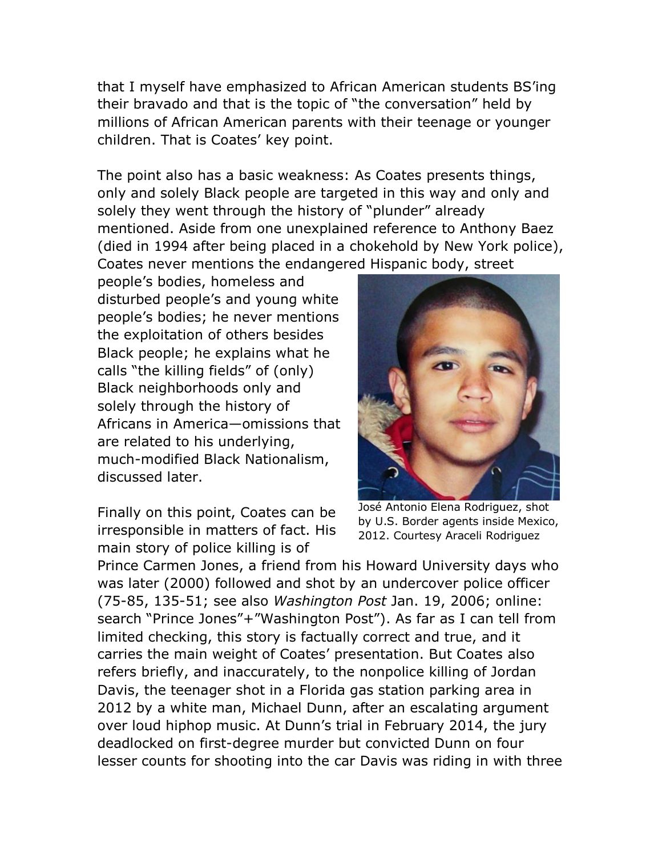that I myself have emphasized to African American students BS'ing their bravado and that is the topic of "the conversation" held by millions of African American parents with their teenage or younger children. That is Coates' key point.

The point also has a basic weakness: As Coates presents things, only and solely Black people are targeted in this way and only and solely they went through the history of "plunder" already mentioned. Aside from one unexplained reference to Anthony Baez (died in 1994 after being placed in a chokehold by New York police), Coates never mentions the endangered Hispanic body, street

people's bodies, homeless and disturbed people's and young white people's bodies; he never mentions the exploitation of others besides Black people; he explains what he calls "the killing fields" of (only) Black neighborhoods only and solely through the history of Africans in America—omissions that are related to his underlying, much-modified Black Nationalism, discussed later.

Finally on this point, Coates can be irresponsible in matters of fact. His main story of police killing is of



José Antonio Elena Rodriguez, shot by U.S. Border agents inside Mexico, 2012. Courtesy Araceli Rodriguez

Prince Carmen Jones, a friend from his Howard University days who was later (2000) followed and shot by an undercover police officer (75-85, 135-51; see also *Washington Post* Jan. 19, 2006; online: search "Prince Jones"+"Washington Post"). As far as I can tell from limited checking, this story is factually correct and true, and it carries the main weight of Coates' presentation. But Coates also refers briefly, and inaccurately, to the nonpolice killing of Jordan Davis, the teenager shot in a Florida gas station parking area in 2012 by a white man, Michael Dunn, after an escalating argument over loud hiphop music. At Dunn's trial in February 2014, the jury deadlocked on first-degree murder but convicted Dunn on four lesser counts for shooting into the car Davis was riding in with three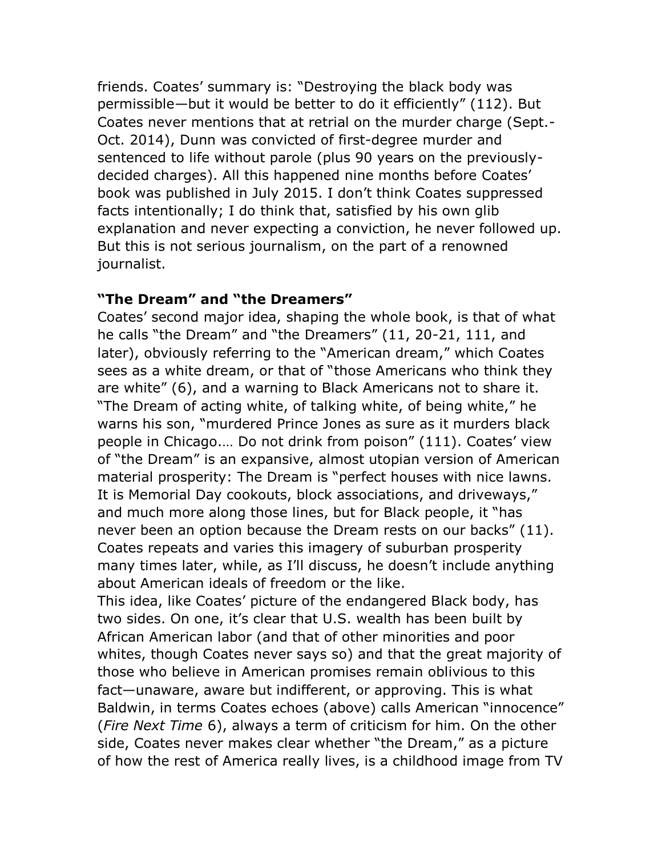friends. Coates' summary is: "Destroying the black body was permissible—but it would be better to do it efficiently" (112). But Coates never mentions that at retrial on the murder charge (Sept.- Oct. 2014), Dunn was convicted of first-degree murder and sentenced to life without parole (plus 90 years on the previouslydecided charges). All this happened nine months before Coates' book was published in July 2015. I don't think Coates suppressed facts intentionally; I do think that, satisfied by his own glib explanation and never expecting a conviction, he never followed up. But this is not serious journalism, on the part of a renowned journalist.

#### **"The Dream" and "the Dreamers"**

Coates' second major idea, shaping the whole book, is that of what he calls "the Dream" and "the Dreamers" (11, 20-21, 111, and later), obviously referring to the "American dream," which Coates sees as a white dream, or that of "those Americans who think they are white" (6), and a warning to Black Americans not to share it. "The Dream of acting white, of talking white, of being white," he warns his son, "murdered Prince Jones as sure as it murders black people in Chicago.… Do not drink from poison" (111). Coates' view of "the Dream" is an expansive, almost utopian version of American material prosperity: The Dream is "perfect houses with nice lawns. It is Memorial Day cookouts, block associations, and driveways," and much more along those lines, but for Black people, it "has never been an option because the Dream rests on our backs" (11). Coates repeats and varies this imagery of suburban prosperity many times later, while, as I'll discuss, he doesn't include anything about American ideals of freedom or the like.

This idea, like Coates' picture of the endangered Black body, has two sides. On one, it's clear that U.S. wealth has been built by African American labor (and that of other minorities and poor whites, though Coates never says so) and that the great majority of those who believe in American promises remain oblivious to this fact—unaware, aware but indifferent, or approving. This is what Baldwin, in terms Coates echoes (above) calls American "innocence" (*Fire Next Time* 6), always a term of criticism for him. On the other side, Coates never makes clear whether "the Dream," as a picture of how the rest of America really lives, is a childhood image from TV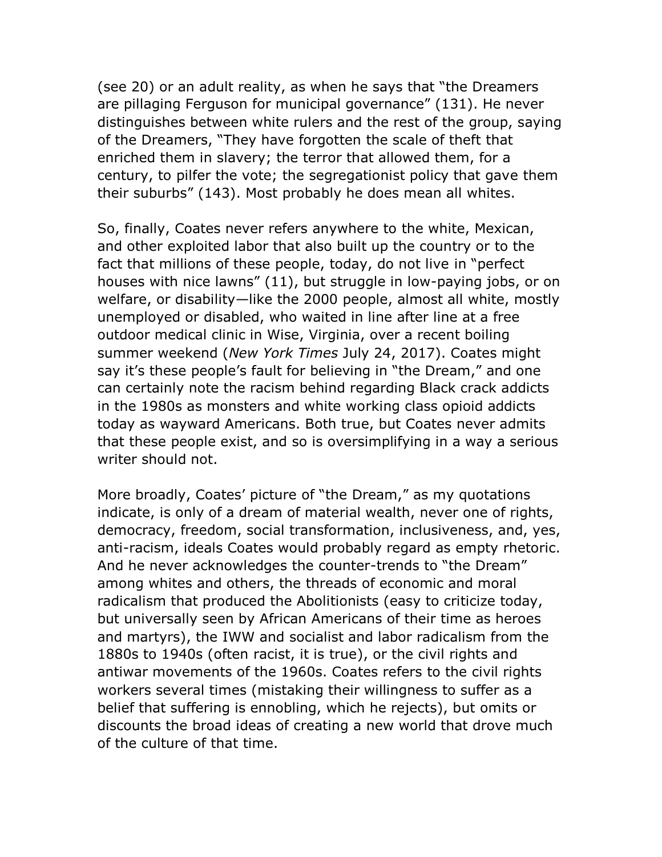(see 20) or an adult reality, as when he says that "the Dreamers are pillaging Ferguson for municipal governance" (131). He never distinguishes between white rulers and the rest of the group, saying of the Dreamers, "They have forgotten the scale of theft that enriched them in slavery; the terror that allowed them, for a century, to pilfer the vote; the segregationist policy that gave them their suburbs" (143). Most probably he does mean all whites.

So, finally, Coates never refers anywhere to the white, Mexican, and other exploited labor that also built up the country or to the fact that millions of these people, today, do not live in "perfect houses with nice lawns" (11), but struggle in low-paying jobs, or on welfare, or disability—like the 2000 people, almost all white, mostly unemployed or disabled, who waited in line after line at a free outdoor medical clinic in Wise, Virginia, over a recent boiling summer weekend (*New York Times* July 24, 2017). Coates might say it's these people's fault for believing in "the Dream," and one can certainly note the racism behind regarding Black crack addicts in the 1980s as monsters and white working class opioid addicts today as wayward Americans. Both true, but Coates never admits that these people exist, and so is oversimplifying in a way a serious writer should not.

More broadly, Coates' picture of "the Dream," as my quotations indicate, is only of a dream of material wealth, never one of rights, democracy, freedom, social transformation, inclusiveness, and, yes, anti-racism, ideals Coates would probably regard as empty rhetoric. And he never acknowledges the counter-trends to "the Dream" among whites and others, the threads of economic and moral radicalism that produced the Abolitionists (easy to criticize today, but universally seen by African Americans of their time as heroes and martyrs), the IWW and socialist and labor radicalism from the 1880s to 1940s (often racist, it is true), or the civil rights and antiwar movements of the 1960s. Coates refers to the civil rights workers several times (mistaking their willingness to suffer as a belief that suffering is ennobling, which he rejects), but omits or discounts the broad ideas of creating a new world that drove much of the culture of that time.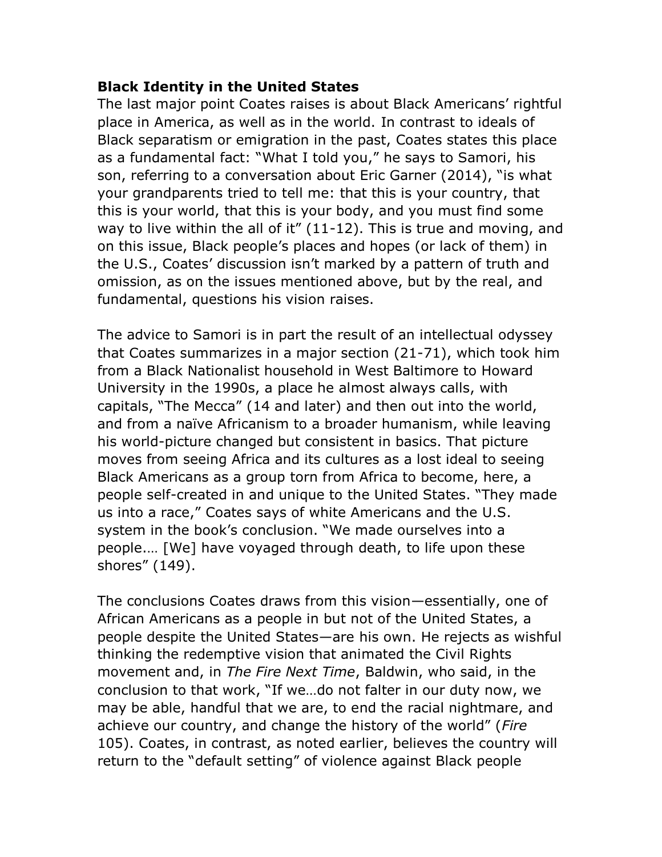### **Black Identity in the United States**

The last major point Coates raises is about Black Americans' rightful place in America, as well as in the world. In contrast to ideals of Black separatism or emigration in the past, Coates states this place as a fundamental fact: "What I told you," he says to Samori, his son, referring to a conversation about Eric Garner (2014), "is what your grandparents tried to tell me: that this is your country, that this is your world, that this is your body, and you must find some way to live within the all of it" (11-12). This is true and moving, and on this issue, Black people's places and hopes (or lack of them) in the U.S., Coates' discussion isn't marked by a pattern of truth and omission, as on the issues mentioned above, but by the real, and fundamental, questions his vision raises.

The advice to Samori is in part the result of an intellectual odyssey that Coates summarizes in a major section (21-71), which took him from a Black Nationalist household in West Baltimore to Howard University in the 1990s, a place he almost always calls, with capitals, "The Mecca" (14 and later) and then out into the world, and from a naïve Africanism to a broader humanism, while leaving his world-picture changed but consistent in basics. That picture moves from seeing Africa and its cultures as a lost ideal to seeing Black Americans as a group torn from Africa to become, here, a people self-created in and unique to the United States. "They made us into a race," Coates says of white Americans and the U.S. system in the book's conclusion. "We made ourselves into a people.… [We] have voyaged through death, to life upon these shores" (149).

The conclusions Coates draws from this vision—essentially, one of African Americans as a people in but not of the United States, a people despite the United States—are his own. He rejects as wishful thinking the redemptive vision that animated the Civil Rights movement and, in *The Fire Next Time*, Baldwin, who said, in the conclusion to that work, "If we…do not falter in our duty now, we may be able, handful that we are, to end the racial nightmare, and achieve our country, and change the history of the world" (*Fire* 105). Coates, in contrast, as noted earlier, believes the country will return to the "default setting" of violence against Black people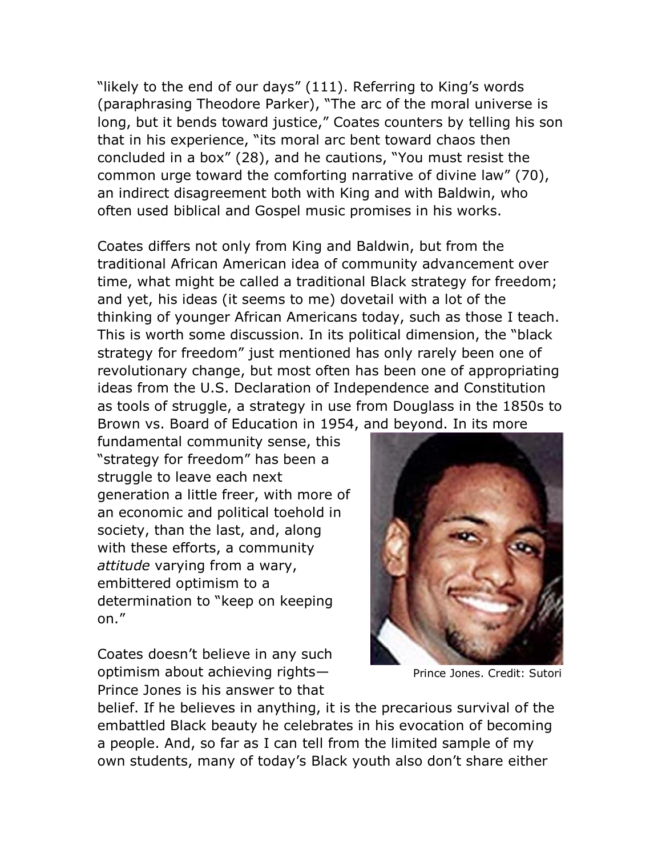"likely to the end of our days" (111). Referring to King's words (paraphrasing Theodore Parker), "The arc of the moral universe is long, but it bends toward justice," Coates counters by telling his son that in his experience, "its moral arc bent toward chaos then concluded in a box" (28), and he cautions, "You must resist the common urge toward the comforting narrative of divine law" (70), an indirect disagreement both with King and with Baldwin, who often used biblical and Gospel music promises in his works.

Coates differs not only from King and Baldwin, but from the traditional African American idea of community advancement over time, what might be called a traditional Black strategy for freedom; and yet, his ideas (it seems to me) dovetail with a lot of the thinking of younger African Americans today, such as those I teach. This is worth some discussion. In its political dimension, the "black strategy for freedom" just mentioned has only rarely been one of revolutionary change, but most often has been one of appropriating ideas from the U.S. Declaration of Independence and Constitution as tools of struggle, a strategy in use from Douglass in the 1850s to Brown vs. Board of Education in 1954, and beyond. In its more

fundamental community sense, this "strategy for freedom" has been a struggle to leave each next generation a little freer, with more of an economic and political toehold in society, than the last, and, along with these efforts, a community *attitude* varying from a wary, embittered optimism to a determination to "keep on keeping on."

Coates doesn't believe in any such optimism about achieving rights— Prince Jones is his answer to that



Prince Jones. Credit: Sutori

belief. If he believes in anything, it is the precarious survival of the embattled Black beauty he celebrates in his evocation of becoming a people. And, so far as I can tell from the limited sample of my own students, many of today's Black youth also don't share either